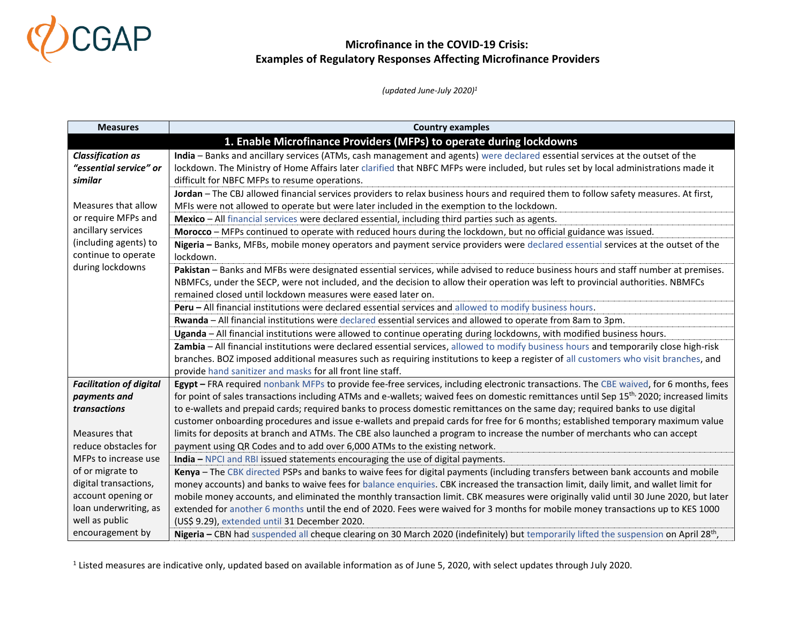

 *(updated June-July 2020)<sup>1</sup>*

| <b>Measures</b>                | <b>Country examples</b>                                                                                                                              |
|--------------------------------|------------------------------------------------------------------------------------------------------------------------------------------------------|
|                                | 1. Enable Microfinance Providers (MFPs) to operate during lockdowns                                                                                  |
| <b>Classification as</b>       | India - Banks and ancillary services (ATMs, cash management and agents) were declared essential services at the outset of the                        |
| "essential service" or         | lockdown. The Ministry of Home Affairs later clarified that NBFC MFPs were included, but rules set by local administrations made it                  |
| similar                        | difficult for NBFC MFPs to resume operations.                                                                                                        |
|                                | Jordan - The CBJ allowed financial services providers to relax business hours and required them to follow safety measures. At first,                 |
| Measures that allow            | MFIs were not allowed to operate but were later included in the exemption to the lockdown.                                                           |
| or require MFPs and            | Mexico - All financial services were declared essential, including third parties such as agents.                                                     |
| ancillary services             | Morocco - MFPs continued to operate with reduced hours during the lockdown, but no official guidance was issued.                                     |
| (including agents) to          | Nigeria - Banks, MFBs, mobile money operators and payment service providers were declared essential services at the outset of the                    |
| continue to operate            | lockdown.                                                                                                                                            |
| during lockdowns               | Pakistan - Banks and MFBs were designated essential services, while advised to reduce business hours and staff number at premises.                   |
|                                | NBMFCs, under the SECP, were not included, and the decision to allow their operation was left to provincial authorities. NBMFCs                      |
|                                | remained closed until lockdown measures were eased later on.                                                                                         |
|                                | Peru - All financial institutions were declared essential services and allowed to modify business hours.                                             |
|                                | Rwanda - All financial institutions were declared essential services and allowed to operate from 8am to 3pm.                                         |
|                                | Uganda - All financial institutions were allowed to continue operating during lockdowns, with modified business hours.                               |
|                                | Zambia - All financial institutions were declared essential services, allowed to modify business hours and temporarily close high-risk               |
|                                | branches. BOZ imposed additional measures such as requiring institutions to keep a register of all customers who visit branches, and                 |
|                                | provide hand sanitizer and masks for all front line staff.                                                                                           |
| <b>Facilitation of digital</b> | Egypt - FRA required nonbank MFPs to provide fee-free services, including electronic transactions. The CBE waived, for 6 months, fees                |
| payments and                   | for point of sales transactions including ATMs and e-wallets; waived fees on domestic remittances until Sep 15 <sup>th,</sup> 2020; increased limits |
| transactions                   | to e-wallets and prepaid cards; required banks to process domestic remittances on the same day; required banks to use digital                        |
|                                | customer onboarding procedures and issue e-wallets and prepaid cards for free for 6 months; established temporary maximum value                      |
| Measures that                  | limits for deposits at branch and ATMs. The CBE also launched a program to increase the number of merchants who can accept                           |
| reduce obstacles for           | payment using QR Codes and to add over 6,000 ATMs to the existing network.                                                                           |
| MFPs to increase use           | India - NPCI and RBI issued statements encouraging the use of digital payments.                                                                      |
| of or migrate to               | Kenya - The CBK directed PSPs and banks to waive fees for digital payments (including transfers between bank accounts and mobile                     |
| digital transactions,          | money accounts) and banks to waive fees for balance enquiries. CBK increased the transaction limit, daily limit, and wallet limit for                |
| account opening or             | mobile money accounts, and eliminated the monthly transaction limit. CBK measures were originally valid until 30 June 2020, but later                |
| loan underwriting, as          | extended for another 6 months until the end of 2020. Fees were waived for 3 months for mobile money transactions up to KES 1000                      |
| well as public                 | (US\$ 9.29), extended until 31 December 2020.                                                                                                        |
| encouragement by               | Nigeria - CBN had suspended all cheque clearing on 30 March 2020 (indefinitely) but temporarily lifted the suspension on April 28 <sup>th</sup> ,    |

 $^1$  Listed measures are indicative only, updated based on available information as of June 5, 2020, with select updates through July 2020.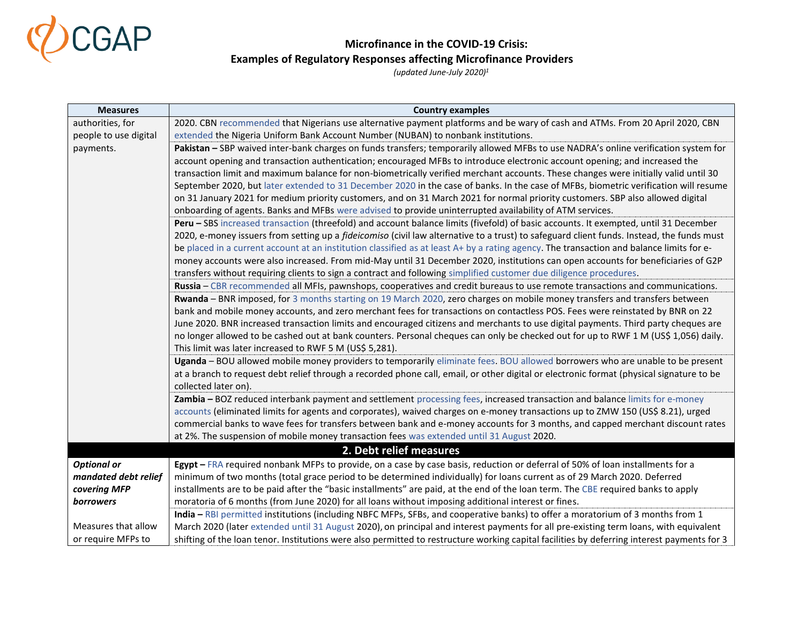

| <b>Measures</b>       | <b>Country examples</b>                                                                                                                     |
|-----------------------|---------------------------------------------------------------------------------------------------------------------------------------------|
| authorities, for      | 2020. CBN recommended that Nigerians use alternative payment platforms and be wary of cash and ATMs. From 20 April 2020, CBN                |
| people to use digital | extended the Nigeria Uniform Bank Account Number (NUBAN) to nonbank institutions.                                                           |
| payments.             | Pakistan - SBP waived inter-bank charges on funds transfers; temporarily allowed MFBs to use NADRA's online verification system for         |
|                       | account opening and transaction authentication; encouraged MFBs to introduce electronic account opening; and increased the                  |
|                       | transaction limit and maximum balance for non-biometrically verified merchant accounts. These changes were initially valid until 30         |
|                       | September 2020, but later extended to 31 December 2020 in the case of banks. In the case of MFBs, biometric verification will resume        |
|                       | on 31 January 2021 for medium priority customers, and on 31 March 2021 for normal priority customers. SBP also allowed digital              |
|                       | onboarding of agents. Banks and MFBs were advised to provide uninterrupted availability of ATM services.                                    |
|                       | Peru - SBS increased transaction (threefold) and account balance limits (fivefold) of basic accounts. It exempted, until 31 December        |
|                       | 2020, e-money issuers from setting up a fideicomiso (civil law alternative to a trust) to safeguard client funds. Instead, the funds must   |
|                       | be placed in a current account at an institution classified as at least A+ by a rating agency. The transaction and balance limits for e-    |
|                       | money accounts were also increased. From mid-May until 31 December 2020, institutions can open accounts for beneficiaries of G2P            |
|                       | transfers without requiring clients to sign a contract and following simplified customer due diligence procedures.                          |
|                       | Russia – CBR recommended all MFIs, pawnshops, cooperatives and credit bureaus to use remote transactions and communications.                |
|                       | Rwanda - BNR imposed, for 3 months starting on 19 March 2020, zero charges on mobile money transfers and transfers between                  |
|                       | bank and mobile money accounts, and zero merchant fees for transactions on contactless POS. Fees were reinstated by BNR on 22               |
|                       | June 2020. BNR increased transaction limits and encouraged citizens and merchants to use digital payments. Third party cheques are          |
|                       | no longer allowed to be cashed out at bank counters. Personal cheques can only be checked out for up to RWF 1 M (US\$ 1,056) daily.         |
|                       | This limit was later increased to RWF 5 M (US\$ 5,281).                                                                                     |
|                       | Uganda - BOU allowed mobile money providers to temporarily eliminate fees. BOU allowed borrowers who are unable to be present               |
|                       | at a branch to request debt relief through a recorded phone call, email, or other digital or electronic format (physical signature to be    |
|                       | collected later on).                                                                                                                        |
|                       | Zambia - BOZ reduced interbank payment and settlement processing fees, increased transaction and balance limits for e-money                 |
|                       | accounts (eliminated limits for agents and corporates), waived charges on e-money transactions up to ZMW 150 (US\$ 8.21), urged             |
|                       | commercial banks to wave fees for transfers between bank and e-money accounts for 3 months, and capped merchant discount rates              |
|                       | at 2%. The suspension of mobile money transaction fees was extended until 31 August 2020.                                                   |
|                       | 2. Debt relief measures                                                                                                                     |
| <b>Optional or</b>    | Egypt - FRA required nonbank MFPs to provide, on a case by case basis, reduction or deferral of 50% of loan installments for a              |
| mandated debt relief  | minimum of two months (total grace period to be determined individually) for loans current as of 29 March 2020. Deferred                    |
| covering MFP          | installments are to be paid after the "basic installments" are paid, at the end of the loan term. The CBE required banks to apply           |
| <b>borrowers</b>      | moratoria of 6 months (from June 2020) for all loans without imposing additional interest or fines.                                         |
|                       | India - RBI permitted institutions (including NBFC MFPs, SFBs, and cooperative banks) to offer a moratorium of 3 months from 1              |
| Measures that allow   | March 2020 (later extended until 31 August 2020), on principal and interest payments for all pre-existing term loans, with equivalent       |
| or require MFPs to    | shifting of the loan tenor. Institutions were also permitted to restructure working capital facilities by deferring interest payments for 3 |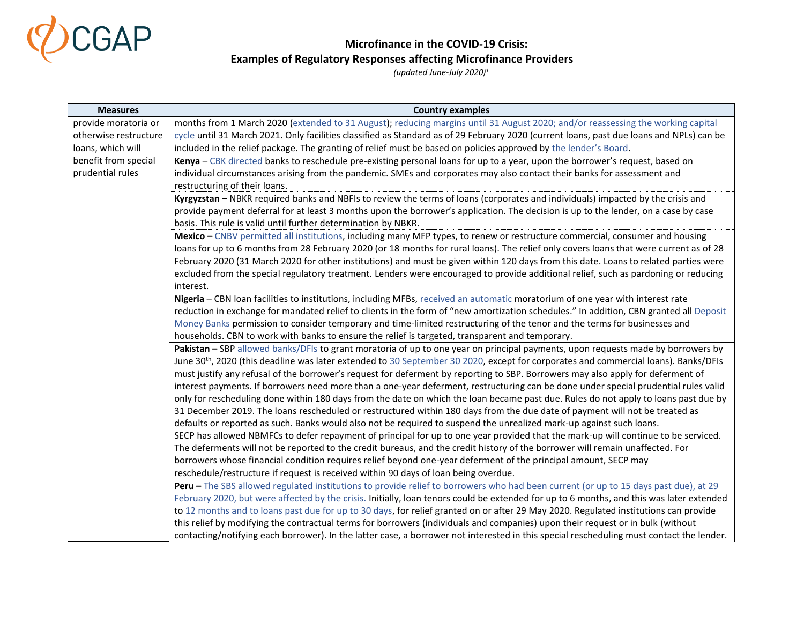

| <b>Measures</b>       | <b>Country examples</b>                                                                                                                                                                                                                                                     |
|-----------------------|-----------------------------------------------------------------------------------------------------------------------------------------------------------------------------------------------------------------------------------------------------------------------------|
| provide moratoria or  | months from 1 March 2020 (extended to 31 August); reducing margins until 31 August 2020; and/or reassessing the working capital                                                                                                                                             |
| otherwise restructure | cycle until 31 March 2021. Only facilities classified as Standard as of 29 February 2020 (current loans, past due loans and NPLs) can be                                                                                                                                    |
| loans, which will     | included in the relief package. The granting of relief must be based on policies approved by the lender's Board.                                                                                                                                                            |
| benefit from special  | Kenya - CBK directed banks to reschedule pre-existing personal loans for up to a year, upon the borrower's request, based on                                                                                                                                                |
| prudential rules      | individual circumstances arising from the pandemic. SMEs and corporates may also contact their banks for assessment and                                                                                                                                                     |
|                       | restructuring of their loans.                                                                                                                                                                                                                                               |
|                       | Kyrgyzstan - NBKR required banks and NBFIs to review the terms of loans (corporates and individuals) impacted by the crisis and                                                                                                                                             |
|                       | provide payment deferral for at least 3 months upon the borrower's application. The decision is up to the lender, on a case by case                                                                                                                                         |
|                       | basis. This rule is valid until further determination by NBKR.                                                                                                                                                                                                              |
|                       | Mexico - CNBV permitted all institutions, including many MFP types, to renew or restructure commercial, consumer and housing                                                                                                                                                |
|                       | loans for up to 6 months from 28 February 2020 (or 18 months for rural loans). The relief only covers loans that were current as of 28                                                                                                                                      |
|                       | February 2020 (31 March 2020 for other institutions) and must be given within 120 days from this date. Loans to related parties were                                                                                                                                        |
|                       | excluded from the special regulatory treatment. Lenders were encouraged to provide additional relief, such as pardoning or reducing                                                                                                                                         |
|                       | interest.                                                                                                                                                                                                                                                                   |
|                       | Nigeria - CBN loan facilities to institutions, including MFBs, received an automatic moratorium of one year with interest rate                                                                                                                                              |
|                       | reduction in exchange for mandated relief to clients in the form of "new amortization schedules." In addition, CBN granted all Deposit                                                                                                                                      |
|                       | Money Banks permission to consider temporary and time-limited restructuring of the tenor and the terms for businesses and                                                                                                                                                   |
|                       | households. CBN to work with banks to ensure the relief is targeted, transparent and temporary.                                                                                                                                                                             |
|                       | Pakistan - SBP allowed banks/DFIs to grant moratoria of up to one year on principal payments, upon requests made by borrowers by                                                                                                                                            |
|                       | June 30 <sup>th</sup> , 2020 (this deadline was later extended to 30 September 30 2020, except for corporates and commercial loans). Banks/DFIs                                                                                                                             |
|                       | must justify any refusal of the borrower's request for deferment by reporting to SBP. Borrowers may also apply for deferment of                                                                                                                                             |
|                       | interest payments. If borrowers need more than a one-year deferment, restructuring can be done under special prudential rules valid                                                                                                                                         |
|                       | only for rescheduling done within 180 days from the date on which the loan became past due. Rules do not apply to loans past due by                                                                                                                                         |
|                       | 31 December 2019. The loans rescheduled or restructured within 180 days from the due date of payment will not be treated as                                                                                                                                                 |
|                       | defaults or reported as such. Banks would also not be required to suspend the unrealized mark-up against such loans.                                                                                                                                                        |
|                       | SECP has allowed NBMFCs to defer repayment of principal for up to one year provided that the mark-up will continue to be serviced.                                                                                                                                          |
|                       | The deferments will not be reported to the credit bureaus, and the credit history of the borrower will remain unaffected. For                                                                                                                                               |
|                       | borrowers whose financial condition requires relief beyond one-year deferment of the principal amount, SECP may                                                                                                                                                             |
|                       | reschedule/restructure if request is received within 90 days of loan being overdue.                                                                                                                                                                                         |
|                       | Peru - The SBS allowed regulated institutions to provide relief to borrowers who had been current (or up to 15 days past due), at 29                                                                                                                                        |
|                       | February 2020, but were affected by the crisis. Initially, loan tenors could be extended for up to 6 months, and this was later extended                                                                                                                                    |
|                       | to 12 months and to loans past due for up to 30 days, for relief granted on or after 29 May 2020. Regulated institutions can provide                                                                                                                                        |
|                       |                                                                                                                                                                                                                                                                             |
|                       | this relief by modifying the contractual terms for borrowers (individuals and companies) upon their request or in bulk (without<br>contacting/notifying each borrower). In the latter case, a borrower not interested in this special rescheduling must contact the lender. |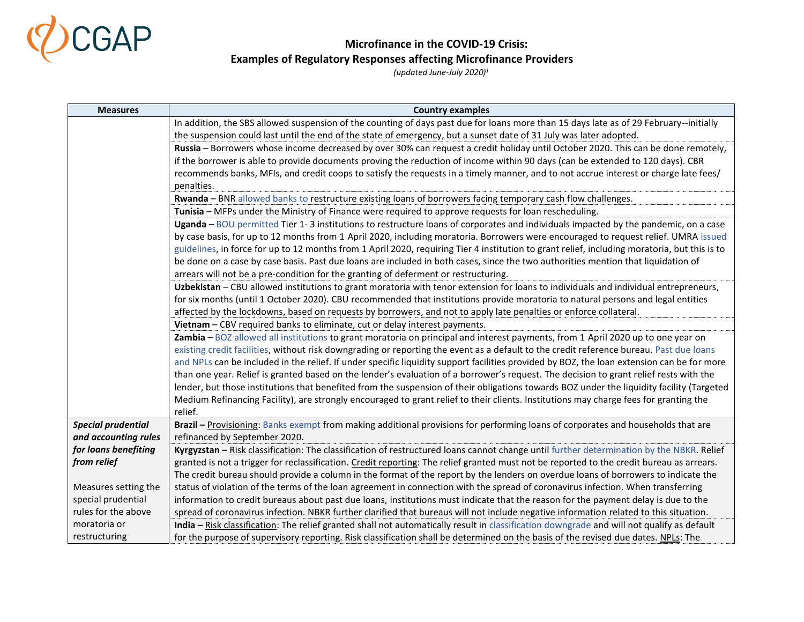

| <b>Measures</b>           | <b>Country examples</b>                                                                                                                       |
|---------------------------|-----------------------------------------------------------------------------------------------------------------------------------------------|
|                           | In addition, the SBS allowed suspension of the counting of days past due for loans more than 15 days late as of 29 February--initially        |
|                           | the suspension could last until the end of the state of emergency, but a sunset date of 31 July was later adopted.                            |
|                           | Russia - Borrowers whose income decreased by over 30% can request a credit holiday until October 2020. This can be done remotely,             |
|                           | if the borrower is able to provide documents proving the reduction of income within 90 days (can be extended to 120 days). CBR                |
|                           | recommends banks, MFIs, and credit coops to satisfy the requests in a timely manner, and to not accrue interest or charge late fees/          |
|                           | penalties.                                                                                                                                    |
|                           | Rwanda - BNR allowed banks to restructure existing loans of borrowers facing temporary cash flow challenges.                                  |
|                           | Tunisia - MFPs under the Ministry of Finance were required to approve requests for loan rescheduling.                                         |
|                           | Uganda - BOU permitted Tier 1-3 institutions to restructure loans of corporates and individuals impacted by the pandemic, on a case           |
|                           | by case basis, for up to 12 months from 1 April 2020, including moratoria. Borrowers were encouraged to request relief. UMRA issued           |
|                           | guidelines, in force for up to 12 months from 1 April 2020, requiring Tier 4 institution to grant relief, including moratoria, but this is to |
|                           | be done on a case by case basis. Past due loans are included in both cases, since the two authorities mention that liquidation of             |
|                           | arrears will not be a pre-condition for the granting of deferment or restructuring.                                                           |
|                           | Uzbekistan - CBU allowed institutions to grant moratoria with tenor extension for loans to individuals and individual entrepreneurs,          |
|                           | for six months (until 1 October 2020). CBU recommended that institutions provide moratoria to natural persons and legal entities              |
|                           | affected by the lockdowns, based on requests by borrowers, and not to apply late penalties or enforce collateral.                             |
|                           | Vietnam - CBV required banks to eliminate, cut or delay interest payments.                                                                    |
|                           | Zambia - BOZ allowed all institutions to grant moratoria on principal and interest payments, from 1 April 2020 up to one year on              |
|                           | existing credit facilities, without risk downgrading or reporting the event as a default to the credit reference bureau. Past due loans       |
|                           | and NPLs can be included in the relief. If under specific liquidity support facilities provided by BOZ, the loan extension can be for more    |
|                           | than one year. Relief is granted based on the lender's evaluation of a borrower's request. The decision to grant relief rests with the        |
|                           | lender, but those institutions that benefited from the suspension of their obligations towards BOZ under the liquidity facility (Targeted     |
|                           | Medium Refinancing Facility), are strongly encouraged to grant relief to their clients. Institutions may charge fees for granting the         |
|                           | relief.                                                                                                                                       |
| <b>Special prudential</b> | Brazil - Provisioning: Banks exempt from making additional provisions for performing loans of corporates and households that are              |
| and accounting rules      | refinanced by September 2020.                                                                                                                 |
| for loans benefiting      | Kyrgyzstan - Risk classification: The classification of restructured loans cannot change until further determination by the NBKR. Relief      |
| from relief               | granted is not a trigger for reclassification. Credit reporting: The relief granted must not be reported to the credit bureau as arrears.     |
|                           | The credit bureau should provide a column in the format of the report by the lenders on overdue loans of borrowers to indicate the            |
| Measures setting the      | status of violation of the terms of the loan agreement in connection with the spread of coronavirus infection. When transferring              |
| special prudential        | information to credit bureaus about past due loans, institutions must indicate that the reason for the payment delay is due to the            |
| rules for the above       | spread of coronavirus infection. NBKR further clarified that bureaus will not include negative information related to this situation.         |
| moratoria or              | India - Risk classification: The relief granted shall not automatically result in classification downgrade and will not qualify as default    |
| restructuring             | for the purpose of supervisory reporting. Risk classification shall be determined on the basis of the revised due dates. NPLs: The            |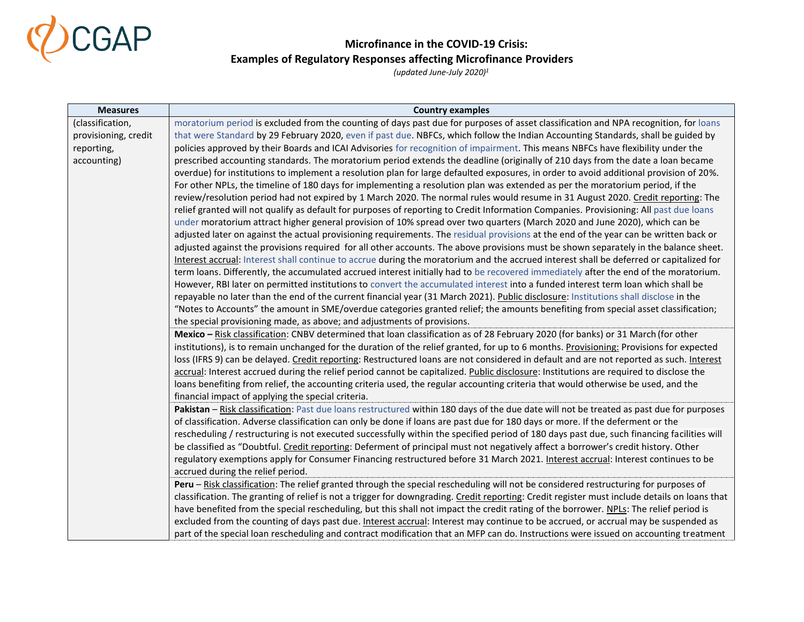

| <b>Measures</b>      | <b>Country examples</b>                                                                                                                       |
|----------------------|-----------------------------------------------------------------------------------------------------------------------------------------------|
| (classification,     | moratorium period is excluded from the counting of days past due for purposes of asset classification and NPA recognition, for loans          |
| provisioning, credit | that were Standard by 29 February 2020, even if past due. NBFCs, which follow the Indian Accounting Standards, shall be guided by             |
| reporting,           | policies approved by their Boards and ICAI Advisories for recognition of impairment. This means NBFCs have flexibility under the              |
| accounting)          | prescribed accounting standards. The moratorium period extends the deadline (originally of 210 days from the date a loan became               |
|                      | overdue) for institutions to implement a resolution plan for large defaulted exposures, in order to avoid additional provision of 20%.        |
|                      | For other NPLs, the timeline of 180 days for implementing a resolution plan was extended as per the moratorium period, if the                 |
|                      | review/resolution period had not expired by 1 March 2020. The normal rules would resume in 31 August 2020. Credit reporting: The              |
|                      | relief granted will not qualify as default for purposes of reporting to Credit Information Companies. Provisioning: All past due loans        |
|                      | under moratorium attract higher general provision of 10% spread over two quarters (March 2020 and June 2020), which can be                    |
|                      | adjusted later on against the actual provisioning requirements. The residual provisions at the end of the year can be written back or         |
|                      | adjusted against the provisions required for all other accounts. The above provisions must be shown separately in the balance sheet.          |
|                      | Interest accrual: Interest shall continue to accrue during the moratorium and the accrued interest shall be deferred or capitalized for       |
|                      | term loans. Differently, the accumulated accrued interest initially had to be recovered immediately after the end of the moratorium.          |
|                      | However, RBI later on permitted institutions to convert the accumulated interest into a funded interest term loan which shall be              |
|                      | repayable no later than the end of the current financial year (31 March 2021). Public disclosure: Institutions shall disclose in the          |
|                      | "Notes to Accounts" the amount in SME/overdue categories granted relief; the amounts benefiting from special asset classification;            |
|                      | the special provisioning made, as above; and adjustments of provisions.                                                                       |
|                      | Mexico - Risk classification: CNBV determined that loan classification as of 28 February 2020 (for banks) or 31 March (for other              |
|                      | institutions), is to remain unchanged for the duration of the relief granted, for up to 6 months. Provisioning: Provisions for expected       |
|                      | loss (IFRS 9) can be delayed. Credit reporting: Restructured loans are not considered in default and are not reported as such. Interest       |
|                      | accrual: Interest accrued during the relief period cannot be capitalized. Public disclosure: Institutions are required to disclose the        |
|                      | loans benefiting from relief, the accounting criteria used, the regular accounting criteria that would otherwise be used, and the             |
|                      | financial impact of applying the special criteria.                                                                                            |
|                      | Pakistan - Risk classification: Past due loans restructured within 180 days of the due date will not be treated as past due for purposes      |
|                      | of classification. Adverse classification can only be done if loans are past due for 180 days or more. If the deferment or the                |
|                      | rescheduling / restructuring is not executed successfully within the specified period of 180 days past due, such financing facilities will    |
|                      | be classified as "Doubtful. Credit reporting: Deferment of principal must not negatively affect a borrower's credit history. Other            |
|                      | regulatory exemptions apply for Consumer Financing restructured before 31 March 2021. Interest accrual: Interest continues to be              |
|                      | accrued during the relief period.                                                                                                             |
|                      | Peru - Risk classification: The relief granted through the special rescheduling will not be considered restructuring for purposes of          |
|                      | classification. The granting of relief is not a trigger for downgrading. Credit reporting: Credit register must include details on loans that |
|                      | have benefited from the special rescheduling, but this shall not impact the credit rating of the borrower. NPLs: The relief period is         |
|                      | excluded from the counting of days past due. Interest accrual: Interest may continue to be accrued, or accrual may be suspended as            |
|                      | part of the special loan rescheduling and contract modification that an MFP can do. Instructions were issued on accounting treatment          |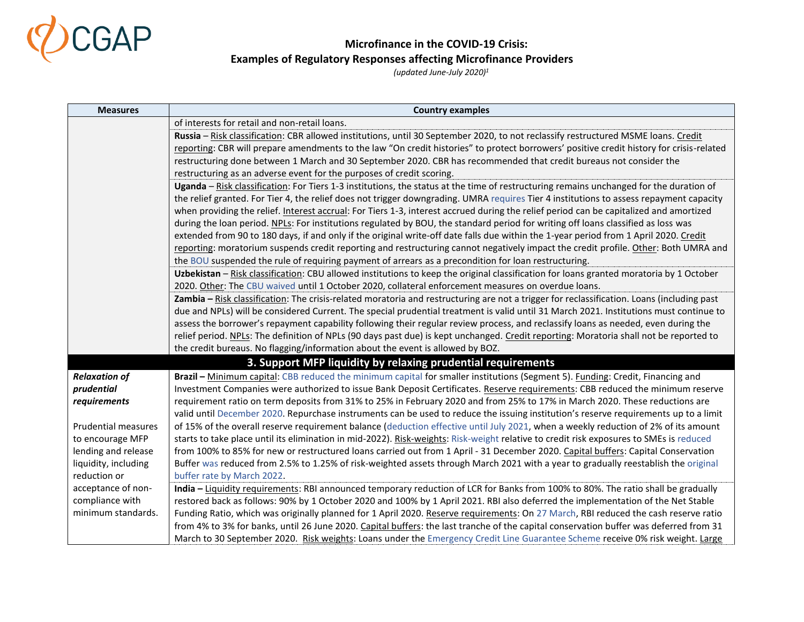

| <b>Measures</b>            | <b>Country examples</b>                                                                                                                    |
|----------------------------|--------------------------------------------------------------------------------------------------------------------------------------------|
|                            | of interests for retail and non-retail loans.                                                                                              |
|                            | Russia - Risk classification: CBR allowed institutions, until 30 September 2020, to not reclassify restructured MSME loans. Credit         |
|                            | reporting: CBR will prepare amendments to the law "On credit histories" to protect borrowers' positive credit history for crisis-related   |
|                            | restructuring done between 1 March and 30 September 2020. CBR has recommended that credit bureaus not consider the                         |
|                            | restructuring as an adverse event for the purposes of credit scoring.                                                                      |
|                            | Uganda - Risk classification: For Tiers 1-3 institutions, the status at the time of restructuring remains unchanged for the duration of    |
|                            | the relief granted. For Tier 4, the relief does not trigger downgrading. UMRA requires Tier 4 institutions to assess repayment capacity    |
|                            | when providing the relief. Interest accrual: For Tiers 1-3, interest accrued during the relief period can be capitalized and amortized     |
|                            | during the loan period. NPLs: For institutions regulated by BOU, the standard period for writing off loans classified as loss was          |
|                            | extended from 90 to 180 days, if and only if the original write-off date falls due within the 1-year period from 1 April 2020. Credit      |
|                            | reporting: moratorium suspends credit reporting and restructuring cannot negatively impact the credit profile. Other: Both UMRA and        |
|                            | the BOU suspended the rule of requiring payment of arrears as a precondition for loan restructuring.                                       |
|                            | Uzbekistan - Risk classification: CBU allowed institutions to keep the original classification for loans granted moratoria by 1 October    |
|                            | 2020. Other: The CBU waived until 1 October 2020, collateral enforcement measures on overdue loans.                                        |
|                            | Zambia - Risk classification: The crisis-related moratoria and restructuring are not a trigger for reclassification. Loans (including past |
|                            | due and NPLs) will be considered Current. The special prudential treatment is valid until 31 March 2021. Institutions must continue to     |
|                            | assess the borrower's repayment capability following their regular review process, and reclassify loans as needed, even during the         |
|                            | relief period. NPLs: The definition of NPLs (90 days past due) is kept unchanged. Credit reporting: Moratoria shall not be reported to     |
|                            | the credit bureaus. No flagging/information about the event is allowed by BOZ.                                                             |
|                            | 3. Support MFP liquidity by relaxing prudential requirements                                                                               |
| <b>Relaxation of</b>       | Brazil - Minimum capital: CBB reduced the minimum capital for smaller institutions (Segment 5). Funding: Credit, Financing and             |
| prudential                 | Investment Companies were authorized to issue Bank Deposit Certificates. Reserve requirements: CBB reduced the minimum reserve             |
| requirements               | requirement ratio on term deposits from 31% to 25% in February 2020 and from 25% to 17% in March 2020. These reductions are                |
|                            | valid until December 2020. Repurchase instruments can be used to reduce the issuing institution's reserve requirements up to a limit       |
| <b>Prudential measures</b> | of 15% of the overall reserve requirement balance (deduction effective until July 2021, when a weekly reduction of 2% of its amount        |
| to encourage MFP           | starts to take place until its elimination in mid-2022). Risk-weights: Risk-weight relative to credit risk exposures to SMEs is reduced    |
| lending and release        | from 100% to 85% for new or restructured loans carried out from 1 April - 31 December 2020. Capital buffers: Capital Conservation          |
| liquidity, including       | Buffer was reduced from 2.5% to 1.25% of risk-weighted assets through March 2021 with a year to gradually reestablish the original         |
| reduction or               | buffer rate by March 2022.                                                                                                                 |
| acceptance of non-         | India - Liquidity requirements: RBI announced temporary reduction of LCR for Banks from 100% to 80%. The ratio shall be gradually          |
| compliance with            | restored back as follows: 90% by 1 October 2020 and 100% by 1 April 2021. RBI also deferred the implementation of the Net Stable           |
| minimum standards.         | Funding Ratio, which was originally planned for 1 April 2020. Reserve requirements: On 27 March, RBI reduced the cash reserve ratio        |
|                            | from 4% to 3% for banks, until 26 June 2020. Capital buffers: the last tranche of the capital conservation buffer was deferred from 31     |
|                            | March to 30 September 2020. Risk weights: Loans under the Emergency Credit Line Guarantee Scheme receive 0% risk weight. Large             |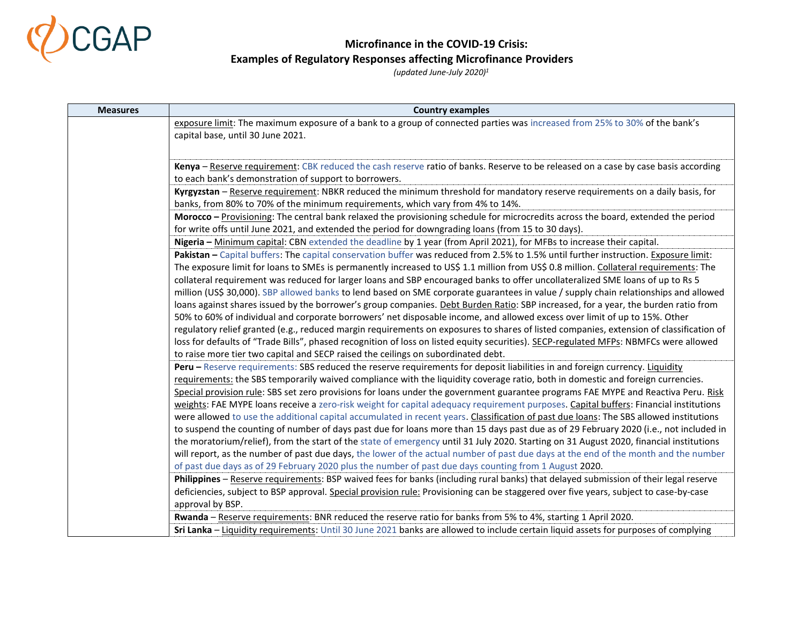

| <b>Measures</b> | <b>Country examples</b>                                                                                                                                                                                                                                                     |
|-----------------|-----------------------------------------------------------------------------------------------------------------------------------------------------------------------------------------------------------------------------------------------------------------------------|
|                 | exposure limit: The maximum exposure of a bank to a group of connected parties was increased from 25% to 30% of the bank's                                                                                                                                                  |
|                 | capital base, until 30 June 2021.                                                                                                                                                                                                                                           |
|                 |                                                                                                                                                                                                                                                                             |
|                 | Kenya - Reserve requirement: CBK reduced the cash reserve ratio of banks. Reserve to be released on a case by case basis according                                                                                                                                          |
|                 | to each bank's demonstration of support to borrowers.                                                                                                                                                                                                                       |
|                 | Kyrgyzstan - Reserve requirement: NBKR reduced the minimum threshold for mandatory reserve requirements on a daily basis, for                                                                                                                                               |
|                 | banks, from 80% to 70% of the minimum requirements, which vary from 4% to 14%.                                                                                                                                                                                              |
|                 | Morocco - Provisioning: The central bank relaxed the provisioning schedule for microcredits across the board, extended the period                                                                                                                                           |
|                 | for write offs until June 2021, and extended the period for downgrading loans (from 15 to 30 days).                                                                                                                                                                         |
|                 | Nigeria - Minimum capital: CBN extended the deadline by 1 year (from April 2021), for MFBs to increase their capital.                                                                                                                                                       |
|                 | Pakistan - Capital buffers: The capital conservation buffer was reduced from 2.5% to 1.5% until further instruction. Exposure limit:                                                                                                                                        |
|                 | The exposure limit for loans to SMEs is permanently increased to US\$ 1.1 million from US\$ 0.8 million. Collateral requirements: The                                                                                                                                       |
|                 | collateral requirement was reduced for larger loans and SBP encouraged banks to offer uncollateralized SME loans of up to Rs 5                                                                                                                                              |
|                 | million (US\$ 30,000). SBP allowed banks to lend based on SME corporate guarantees in value / supply chain relationships and allowed                                                                                                                                        |
|                 | loans against shares issued by the borrower's group companies. Debt Burden Ratio: SBP increased, for a year, the burden ratio from                                                                                                                                          |
|                 | 50% to 60% of individual and corporate borrowers' net disposable income, and allowed excess over limit of up to 15%. Other                                                                                                                                                  |
|                 | regulatory relief granted (e.g., reduced margin requirements on exposures to shares of listed companies, extension of classification of                                                                                                                                     |
|                 | loss for defaults of "Trade Bills", phased recognition of loss on listed equity securities). SECP-regulated MFPs: NBMFCs were allowed                                                                                                                                       |
|                 | to raise more tier two capital and SECP raised the ceilings on subordinated debt.                                                                                                                                                                                           |
|                 | Peru - Reserve requirements: SBS reduced the reserve requirements for deposit liabilities in and foreign currency. Liquidity                                                                                                                                                |
|                 | requirements: the SBS temporarily waived compliance with the liquidity coverage ratio, both in domestic and foreign currencies.                                                                                                                                             |
|                 | Special provision rule: SBS set zero provisions for loans under the government guarantee programs FAE MYPE and Reactiva Peru. Risk<br>weights: FAE MYPE loans receive a zero-risk weight for capital adequacy requirement purposes. Capital buffers: Financial institutions |
|                 | were allowed to use the additional capital accumulated in recent years. Classification of past due loans: The SBS allowed institutions                                                                                                                                      |
|                 | to suspend the counting of number of days past due for loans more than 15 days past due as of 29 February 2020 (i.e., not included in                                                                                                                                       |
|                 | the moratorium/relief), from the start of the state of emergency until 31 July 2020. Starting on 31 August 2020, financial institutions                                                                                                                                     |
|                 | will report, as the number of past due days, the lower of the actual number of past due days at the end of the month and the number                                                                                                                                         |
|                 | of past due days as of 29 February 2020 plus the number of past due days counting from 1 August 2020.                                                                                                                                                                       |
|                 | Philippines - Reserve requirements: BSP waived fees for banks (including rural banks) that delayed submission of their legal reserve                                                                                                                                        |
|                 | deficiencies, subject to BSP approval. Special provision rule: Provisioning can be staggered over five years, subject to case-by-case                                                                                                                                       |
|                 | approval by BSP.                                                                                                                                                                                                                                                            |
|                 | Rwanda - Reserve requirements: BNR reduced the reserve ratio for banks from 5% to 4%, starting 1 April 2020.                                                                                                                                                                |
|                 | Sri Lanka - Liquidity requirements: Until 30 June 2021 banks are allowed to include certain liquid assets for purposes of complying                                                                                                                                         |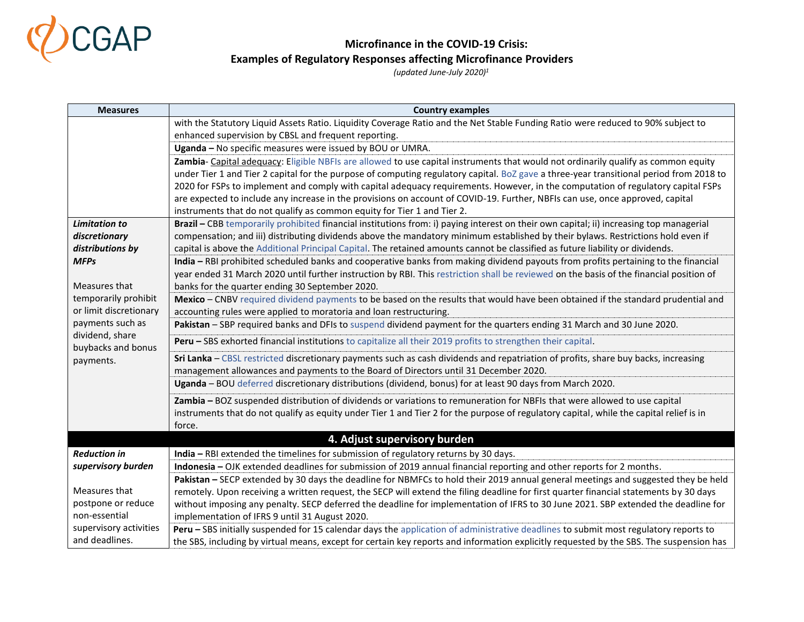

| <b>Measures</b>                       | <b>Country examples</b>                                                                                                                                                                                |
|---------------------------------------|--------------------------------------------------------------------------------------------------------------------------------------------------------------------------------------------------------|
|                                       | with the Statutory Liquid Assets Ratio. Liquidity Coverage Ratio and the Net Stable Funding Ratio were reduced to 90% subject to                                                                       |
|                                       | enhanced supervision by CBSL and frequent reporting.                                                                                                                                                   |
|                                       | Uganda - No specific measures were issued by BOU or UMRA.                                                                                                                                              |
|                                       | Zambia- Capital adequacy: Eligible NBFIs are allowed to use capital instruments that would not ordinarily qualify as common equity                                                                     |
|                                       | under Tier 1 and Tier 2 capital for the purpose of computing regulatory capital. BoZ gave a three-year transitional period from 2018 to                                                                |
|                                       | 2020 for FSPs to implement and comply with capital adequacy requirements. However, in the computation of regulatory capital FSPs                                                                       |
|                                       | are expected to include any increase in the provisions on account of COVID-19. Further, NBFIs can use, once approved, capital                                                                          |
|                                       | instruments that do not qualify as common equity for Tier 1 and Tier 2.                                                                                                                                |
| <b>Limitation to</b>                  | Brazil - CBB temporarily prohibited financial institutions from: i) paying interest on their own capital; ii) increasing top managerial                                                                |
| discretionary                         | compensation; and iii) distributing dividends above the mandatory minimum established by their bylaws. Restrictions hold even if                                                                       |
| distributions by                      | capital is above the Additional Principal Capital. The retained amounts cannot be classified as future liability or dividends.                                                                         |
| <b>MFPs</b>                           | India - RBI prohibited scheduled banks and cooperative banks from making dividend payouts from profits pertaining to the financial                                                                     |
|                                       | year ended 31 March 2020 until further instruction by RBI. This restriction shall be reviewed on the basis of the financial position of                                                                |
| Measures that<br>temporarily prohibit | banks for the quarter ending 30 September 2020.                                                                                                                                                        |
| or limit discretionary                | Mexico - CNBV required dividend payments to be based on the results that would have been obtained if the standard prudential and<br>accounting rules were applied to moratoria and loan restructuring. |
| payments such as                      | Pakistan - SBP required banks and DFIs to suspend dividend payment for the quarters ending 31 March and 30 June 2020.                                                                                  |
| dividend, share                       |                                                                                                                                                                                                        |
| buybacks and bonus                    | <b>Peru - SBS exhorted financial institutions to capitalize all their 2019 profits to strengthen their capital.</b>                                                                                    |
| payments.                             | Sri Lanka - CBSL restricted discretionary payments such as cash dividends and repatriation of profits, share buy backs, increasing                                                                     |
|                                       | management allowances and payments to the Board of Directors until 31 December 2020.                                                                                                                   |
|                                       | Uganda - BOU deferred discretionary distributions (dividend, bonus) for at least 90 days from March 2020.                                                                                              |
|                                       | Zambia - BOZ suspended distribution of dividends or variations to remuneration for NBFIs that were allowed to use capital                                                                              |
|                                       | instruments that do not qualify as equity under Tier 1 and Tier 2 for the purpose of regulatory capital, while the capital relief is in                                                                |
|                                       | force.                                                                                                                                                                                                 |
|                                       | 4. Adjust supervisory burden                                                                                                                                                                           |
| <b>Reduction in</b>                   | India - RBI extended the timelines for submission of regulatory returns by 30 days.                                                                                                                    |
| supervisory burden                    | Indonesia - OJK extended deadlines for submission of 2019 annual financial reporting and other reports for 2 months.                                                                                   |
|                                       | Pakistan - SECP extended by 30 days the deadline for NBMFCs to hold their 2019 annual general meetings and suggested they be held                                                                      |
| Measures that                         | remotely. Upon receiving a written request, the SECP will extend the filing deadline for first quarter financial statements by 30 days                                                                 |
| postpone or reduce                    | without imposing any penalty. SECP deferred the deadline for implementation of IFRS to 30 June 2021. SBP extended the deadline for                                                                     |
| non-essential                         | implementation of IFRS 9 until 31 August 2020.                                                                                                                                                         |
| supervisory activities                | Peru - SBS initially suspended for 15 calendar days the application of administrative deadlines to submit most regulatory reports to                                                                   |
| and deadlines.                        | the SBS, including by virtual means, except for certain key reports and information explicitly requested by the SBS. The suspension has                                                                |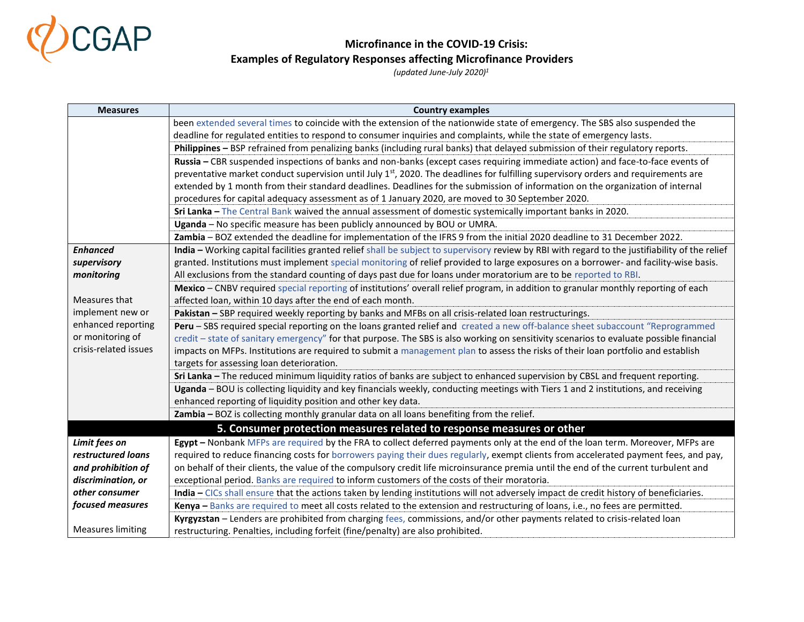

| <b>Measures</b>          | <b>Country examples</b>                                                                                                                         |
|--------------------------|-------------------------------------------------------------------------------------------------------------------------------------------------|
|                          | been extended several times to coincide with the extension of the nationwide state of emergency. The SBS also suspended the                     |
|                          | deadline for regulated entities to respond to consumer inquiries and complaints, while the state of emergency lasts.                            |
|                          | Philippines - BSP refrained from penalizing banks (including rural banks) that delayed submission of their regulatory reports.                  |
|                          | Russia - CBR suspended inspections of banks and non-banks (except cases requiring immediate action) and face-to-face events of                  |
|                          | preventative market conduct supervision until July 1 <sup>st</sup> , 2020. The deadlines for fulfilling supervisory orders and requirements are |
|                          | extended by 1 month from their standard deadlines. Deadlines for the submission of information on the organization of internal                  |
|                          | procedures for capital adequacy assessment as of 1 January 2020, are moved to 30 September 2020.                                                |
|                          | Sri Lanka - The Central Bank waived the annual assessment of domestic systemically important banks in 2020.                                     |
|                          | Uganda - No specific measure has been publicly announced by BOU or UMRA.                                                                        |
|                          | Zambia - BOZ extended the deadline for implementation of the IFRS 9 from the initial 2020 deadline to 31 December 2022.                         |
| <b>Enhanced</b>          | India - Working capital facilities granted relief shall be subject to supervisory review by RBI with regard to the justifiability of the relief |
| supervisory              | granted. Institutions must implement special monitoring of relief provided to large exposures on a borrower- and facility-wise basis.           |
| monitoring               | All exclusions from the standard counting of days past due for loans under moratorium are to be reported to RBI.                                |
|                          | Mexico - CNBV required special reporting of institutions' overall relief program, in addition to granular monthly reporting of each             |
| Measures that            | affected loan, within 10 days after the end of each month.                                                                                      |
| implement new or         | Pakistan - SBP required weekly reporting by banks and MFBs on all crisis-related loan restructurings.                                           |
| enhanced reporting       | Peru - SBS required special reporting on the loans granted relief and created a new off-balance sheet subaccount "Reprogrammed                  |
| or monitoring of         | credit - state of sanitary emergency" for that purpose. The SBS is also working on sensitivity scenarios to evaluate possible financial         |
| crisis-related issues    | impacts on MFPs. Institutions are required to submit a management plan to assess the risks of their loan portfolio and establish                |
|                          | targets for assessing loan deterioration.                                                                                                       |
|                          | Sri Lanka - The reduced minimum liquidity ratios of banks are subject to enhanced supervision by CBSL and frequent reporting.                   |
|                          | Uganda - BOU is collecting liquidity and key financials weekly, conducting meetings with Tiers 1 and 2 institutions, and receiving              |
|                          | enhanced reporting of liquidity position and other key data.                                                                                    |
|                          | Zambia - BOZ is collecting monthly granular data on all loans benefiting from the relief.                                                       |
|                          | 5. Consumer protection measures related to response measures or other                                                                           |
| Limit fees on            | Egypt - Nonbank MFPs are required by the FRA to collect deferred payments only at the end of the loan term. Moreover, MFPs are                  |
| restructured loans       | required to reduce financing costs for borrowers paying their dues regularly, exempt clients from accelerated payment fees, and pay,            |
| and prohibition of       | on behalf of their clients, the value of the compulsory credit life microinsurance premia until the end of the current turbulent and            |
| discrimination, or       | exceptional period. Banks are required to inform customers of the costs of their moratoria.                                                     |
| other consumer           | India - CICs shall ensure that the actions taken by lending institutions will not adversely impact de credit history of beneficiaries.          |
| focused measures         | Kenya - Banks are required to meet all costs related to the extension and restructuring of loans, i.e., no fees are permitted.                  |
|                          | Kyrgyzstan - Lenders are prohibited from charging fees, commissions, and/or other payments related to crisis-related loan                       |
| <b>Measures limiting</b> | restructuring. Penalties, including forfeit (fine/penalty) are also prohibited.                                                                 |